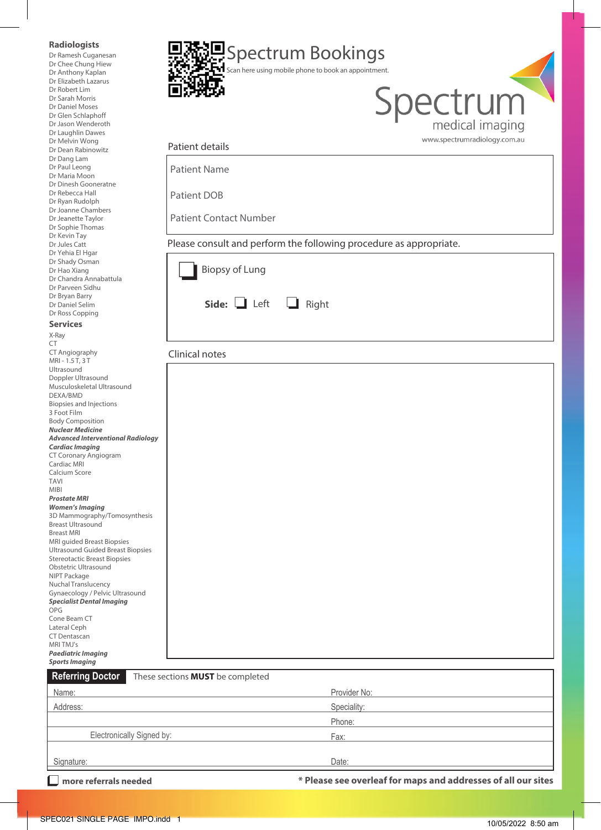| more referrals needed                                                           |                                                                    |                                                      | * Please see overleaf for maps and addresses of all our sites |
|---------------------------------------------------------------------------------|--------------------------------------------------------------------|------------------------------------------------------|---------------------------------------------------------------|
| Signature:                                                                      |                                                                    | Date:                                                |                                                               |
| Electronically Signed by:                                                       |                                                                    | Fax:                                                 |                                                               |
|                                                                                 |                                                                    | Phone:                                               |                                                               |
| Address:                                                                        |                                                                    | Speciality:                                          |                                                               |
| Name:                                                                           |                                                                    | Provider No:                                         |                                                               |
| <b>Referring Doctor</b>                                                         | These sections <b>MUST</b> be completed                            |                                                      |                                                               |
| <b>Sports Imaging</b>                                                           |                                                                    |                                                      |                                                               |
| MRI TMJ's<br><b>Paediatric Imaging</b>                                          |                                                                    |                                                      |                                                               |
| CT Dentascan                                                                    |                                                                    |                                                      |                                                               |
| Cone Beam CT<br>Lateral Ceph                                                    |                                                                    |                                                      |                                                               |
| <b>Specialist Dental Imaging</b><br>OPG                                         |                                                                    |                                                      |                                                               |
| Gynaecology / Pelvic Ultrasound                                                 |                                                                    |                                                      |                                                               |
| NIPT Package<br>Nuchal Translucency                                             |                                                                    |                                                      |                                                               |
| Obstetric Ultrasound                                                            |                                                                    |                                                      |                                                               |
| <b>Ultrasound Guided Breast Biopsies</b><br><b>Stereotactic Breast Biopsies</b> |                                                                    |                                                      |                                                               |
| MRI quided Breast Biopsies                                                      |                                                                    |                                                      |                                                               |
| <b>Breast Ultrasound</b><br><b>Breast MRI</b>                                   |                                                                    |                                                      |                                                               |
| <b>Women's Imaging</b><br>3D Mammography/Tomosynthesis                          |                                                                    |                                                      |                                                               |
| <b>Prostate MRI</b>                                                             |                                                                    |                                                      |                                                               |
| <b>TAVI</b><br><b>MIBI</b>                                                      |                                                                    |                                                      |                                                               |
| Calcium Score                                                                   |                                                                    |                                                      |                                                               |
| CT Coronary Angiogram<br>Cardiac MRI                                            |                                                                    |                                                      |                                                               |
| <b>Cardiac Imaging</b>                                                          |                                                                    |                                                      |                                                               |
| <b>Nuclear Medicine</b><br><b>Advanced Interventional Radiology</b>             |                                                                    |                                                      |                                                               |
| <b>Body Composition</b>                                                         |                                                                    |                                                      |                                                               |
| Biopsies and Injections<br>3 Foot Film                                          |                                                                    |                                                      |                                                               |
| DEXA/BMD                                                                        |                                                                    |                                                      |                                                               |
| Doppler Ultrasound<br>Musculoskeletal Ultrasound                                |                                                                    |                                                      |                                                               |
| MRI - 1.5 T, 3 T<br>Ultrasound                                                  |                                                                    |                                                      |                                                               |
| CT Angiography                                                                  | Clinical notes                                                     |                                                      |                                                               |
| X-Ray<br>CT                                                                     |                                                                    |                                                      |                                                               |
| <b>Services</b>                                                                 |                                                                    |                                                      |                                                               |
| Dr Ross Copping                                                                 |                                                                    |                                                      |                                                               |
| Dr Bryan Barry<br>Dr Daniel Selim                                               | Side: $\Box$ Left                                                  | $\Box$ Right                                         |                                                               |
| Dr Parveen Sidhu                                                                |                                                                    |                                                      |                                                               |
| Dr Hao Xiang<br>Dr Chandra Annabattula                                          | <b>Biopsy of Lung</b>                                              |                                                      |                                                               |
| Dr Yehia El Hgar<br>Dr Shady Osman                                              |                                                                    |                                                      |                                                               |
| Dr Jules Catt                                                                   | Please consult and perform the following procedure as appropriate. |                                                      |                                                               |
| Dr Sophie Thomas<br>Dr Kevin Tay                                                |                                                                    |                                                      |                                                               |
| Dr Joanne Chambers<br>Dr Jeanette Taylor                                        | <b>Patient Contact Number</b>                                      |                                                      |                                                               |
| Dr Ryan Rudolph                                                                 | Patient DOB                                                        |                                                      |                                                               |
| Dr Dinesh Gooneratne<br>Dr Rebecca Hall                                         |                                                                    |                                                      |                                                               |
| Dr Paul Leong<br>Dr Maria Moon                                                  | <b>Patient Name</b>                                                |                                                      |                                                               |
| Dr Dang Lam                                                                     |                                                                    |                                                      |                                                               |
| Dr Melvin Wong<br>Dr Dean Rabinowitz                                            | Patient details                                                    |                                                      | www.spectrumradiology.com.au                                  |
| Dr Jason Wenderoth<br>Dr Laughlin Dawes                                         |                                                                    |                                                      | medical imaging                                               |
| Dr Glen Schlaphoff                                                              |                                                                    |                                                      |                                                               |
| Dr Sarah Morris<br>Dr Daniel Moses                                              |                                                                    |                                                      | Spectrum                                                      |
| Dr Robert Lim                                                                   |                                                                    |                                                      |                                                               |
|                                                                                 |                                                                    |                                                      |                                                               |
| Dr Chee Chung Hiew<br>Dr Anthony Kaplan<br>Dr Elizabeth Lazarus                 |                                                                    | Scan here using mobile phone to book an appointment. |                                                               |

 $\overline{\mathbb{L}}$